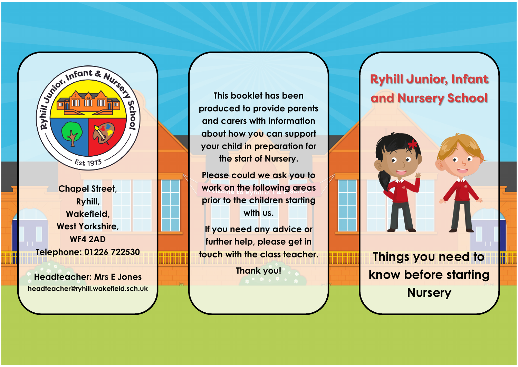

**Chapel Street, Ryhill, Wakefield, West Yorkshire, WF4 2AD Telephone: 01226 722530**

**Headteacher: Mrs E Jones headteacher@ryhill.wakefield.sch.uk**

**This booklet has been produced to provide parents and carers with information about how you can support your child in preparation for the start of Nursery.** 

**Please could we ask you to work on the following areas prior to the children starting with us.** 

**If you need any advice or further help, please get in touch with the class teacher.**

**Thank you!**

# **Ryhill Junior, Infant and Nursery School**

**Things you need to know before starting Nursery**